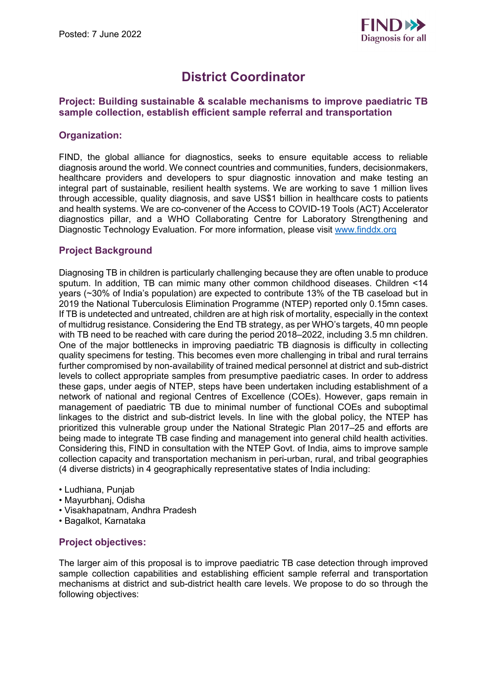

# **District Coordinator**

## **Project: Building sustainable & scalable mechanisms to improve paediatric TB sample collection, establish efficient sample referral and transportation**

## **Organization:**

FIND, the global alliance for diagnostics, seeks to ensure equitable access to reliable diagnosis around the world. We connect countries and communities, funders, decisionmakers, healthcare providers and developers to spur diagnostic innovation and make testing an integral part of sustainable, resilient health systems. We are working to save 1 million lives through accessible, quality diagnosis, and save US\$1 billion in healthcare costs to patients and health systems. We are co-convener of the Access to COVID-19 Tools (ACT) Accelerator diagnostics pillar, and a WHO Collaborating Centre for Laboratory Strengthening and Diagnostic Technology Evaluation. For more information, please visit [www.finddx.org](http://www.finddx.org/) 

# **Project Background**

Diagnosing TB in children is particularly challenging because they are often unable to produce sputum. In addition, TB can mimic many other common childhood diseases. Children <14 years (~30% of India's population) are expected to contribute 13% of the TB caseload but in 2019 the National Tuberculosis Elimination Programme (NTEP) reported only 0.15mn cases. If TB is undetected and untreated, children are at high risk of mortality, especially in the context of multidrug resistance. Considering the End TB strategy, as per WHO's targets, 40 mn people with TB need to be reached with care during the period 2018–2022, including 3.5 mn children. One of the major bottlenecks in improving paediatric TB diagnosis is difficulty in collecting quality specimens for testing. This becomes even more challenging in tribal and rural terrains further compromised by non-availability of trained medical personnel at district and sub-district levels to collect appropriate samples from presumptive paediatric cases. In order to address these gaps, under aegis of NTEP, steps have been undertaken including establishment of a network of national and regional Centres of Excellence (COEs). However, gaps remain in management of paediatric TB due to minimal number of functional COEs and suboptimal linkages to the district and sub-district levels. In line with the global policy, the NTEP has prioritized this vulnerable group under the National Strategic Plan 2017–25 and efforts are being made to integrate TB case finding and management into general child health activities. Considering this, FIND in consultation with the NTEP Govt. of India, aims to improve sample collection capacity and transportation mechanism in peri-urban, rural, and tribal geographies (4 diverse districts) in 4 geographically representative states of India including:

- Ludhiana, Punjab
- Mayurbhanj, Odisha
- Visakhapatnam, Andhra Pradesh
- Bagalkot, Karnataka

## **Project objectives:**

The larger aim of this proposal is to improve paediatric TB case detection through improved sample collection capabilities and establishing efficient sample referral and transportation mechanisms at district and sub-district health care levels. We propose to do so through the following objectives: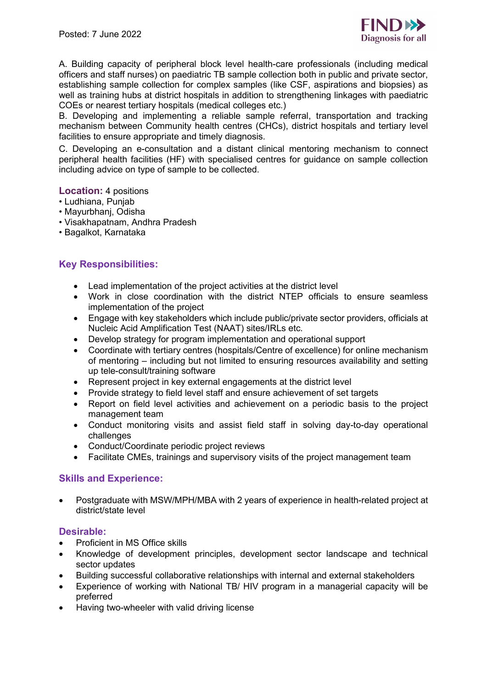

A. Building capacity of peripheral block level health-care professionals (including medical officers and staff nurses) on paediatric TB sample collection both in public and private sector, establishing sample collection for complex samples (like CSF, aspirations and biopsies) as well as training hubs at district hospitals in addition to strengthening linkages with paediatric COEs or nearest tertiary hospitals (medical colleges etc.)

B. Developing and implementing a reliable sample referral, transportation and tracking mechanism between Community health centres (CHCs), district hospitals and tertiary level facilities to ensure appropriate and timely diagnosis.

C. Developing an e-consultation and a distant clinical mentoring mechanism to connect peripheral health facilities (HF) with specialised centres for guidance on sample collection including advice on type of sample to be collected.

**Location:** 4 positions

- Ludhiana, Punjab
- Mayurbhanj, Odisha
- Visakhapatnam, Andhra Pradesh
- Bagalkot, Karnataka

## **Key Responsibilities:**

- Lead implementation of the project activities at the district level
- Work in close coordination with the district NTEP officials to ensure seamless implementation of the project
- Engage with key stakeholders which include public/private sector providers, officials at Nucleic Acid Amplification Test (NAAT) sites/IRLs etc.
- Develop strategy for program implementation and operational support
- Coordinate with tertiary centres (hospitals/Centre of excellence) for online mechanism of mentoring – including but not limited to ensuring resources availability and setting up tele-consult/training software
- Represent project in key external engagements at the district level
- Provide strategy to field level staff and ensure achievement of set targets
- Report on field level activities and achievement on a periodic basis to the project management team
- Conduct monitoring visits and assist field staff in solving day-to-day operational challenges
- Conduct/Coordinate periodic project reviews
- Facilitate CMEs, trainings and supervisory visits of the project management team

#### **Skills and Experience:**

• Postgraduate with MSW/MPH/MBA with 2 years of experience in health-related project at district/state level

#### **Desirable:**

- Proficient in MS Office skills
- Knowledge of development principles, development sector landscape and technical sector updates
- Building successful collaborative relationships with internal and external stakeholders
- Experience of working with National TB/ HIV program in a managerial capacity will be preferred
- Having two-wheeler with valid driving license